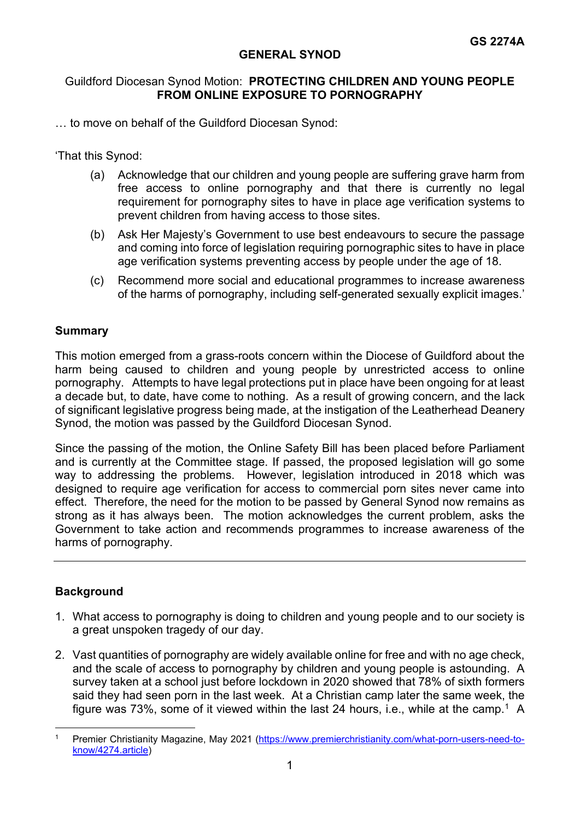## **GENERAL SYNOD**

# Guildford Diocesan Synod Motion: **PROTECTING CHILDREN AND YOUNG PEOPLE FROM ONLINE EXPOSURE TO PORNOGRAPHY**

… to move on behalf of the Guildford Diocesan Synod:

'That this Synod:

- (a) Acknowledge that our children and young people are suffering grave harm from free access to online pornography and that there is currently no legal requirement for pornography sites to have in place age verification systems to prevent children from having access to those sites.
- (b) Ask Her Majesty's Government to use best endeavours to secure the passage and coming into force of legislation requiring pornographic sites to have in place age verification systems preventing access by people under the age of 18.
- (c) Recommend more social and educational programmes to increase awareness of the harms of pornography, including self-generated sexually explicit images.'

#### **Summary**

This motion emerged from a grass-roots concern within the Diocese of Guildford about the harm being caused to children and young people by unrestricted access to online pornography. Attempts to have legal protections put in place have been ongoing for at least a decade but, to date, have come to nothing. As a result of growing concern, and the lack of significant legislative progress being made, at the instigation of the Leatherhead Deanery Synod, the motion was passed by the Guildford Diocesan Synod.

Since the passing of the motion, the Online Safety Bill has been placed before Parliament and is currently at the Committee stage. If passed, the proposed legislation will go some way to addressing the problems. However, legislation introduced in 2018 which was designed to require age verification for access to commercial porn sites never came into effect. Therefore, the need for the motion to be passed by General Synod now remains as strong as it has always been. The motion acknowledges the current problem, asks the Government to take action and recommends programmes to increase awareness of the harms of pornography.

# **Background**

- 1. What access to pornography is doing to children and young people and to our society is a great unspoken tragedy of our day.
- 2. Vast quantities of pornography are widely available online for free and with no age check, and the scale of access to pornography by children and young people is astounding. A survey taken at a school just before lockdown in 2020 showed that 78% of sixth formers said they had seen porn in the last week. At a Christian camp later the same week, the figure was 73%, some of it viewed within the last 24 hours, i.e., while at the camp.<sup>1</sup> A

<span id="page-0-0"></span>Premier Christianity Magazine, May 2021 [\(https://www.premierchristianity.com/what-porn-users-need-to](https://www.premierchristianity.com/what-porn-users-need-to-know/4274.article)[know/4274.article\)](https://www.premierchristianity.com/what-porn-users-need-to-know/4274.article)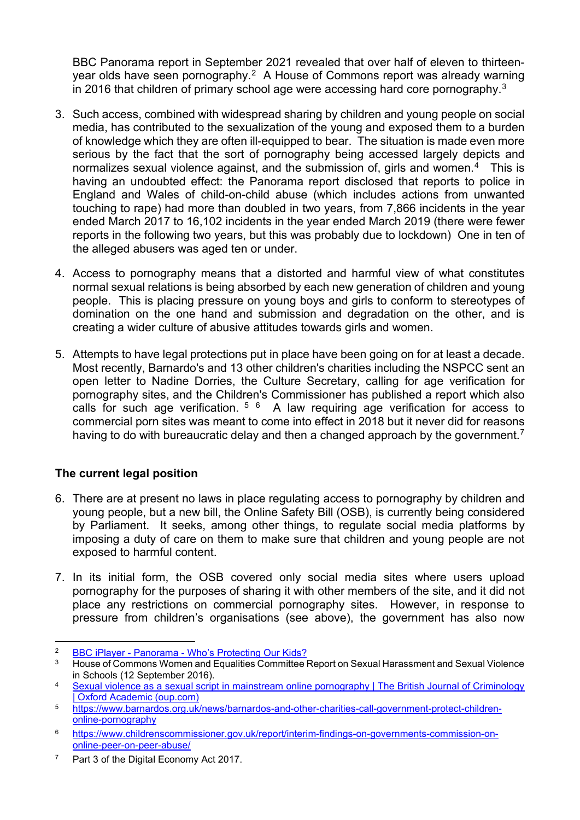BBC Panorama report in September 2021 revealed that over half of eleven to thirteenyear olds have seen pornography.[2](#page-1-0) A House of Commons report was already warning in 2016 that children of primary school age were accessing hard core pornography[.3](#page-1-1)

- 3. Such access, combined with widespread sharing by children and young people on social media, has contributed to the sexualization of the young and exposed them to a burden of knowledge which they are often ill-equipped to bear. The situation is made even more serious by the fact that the sort of pornography being accessed largely depicts and normalizes sexual violence against, and the submission of, girls and women.<sup>4</sup> This is having an undoubted effect: the Panorama report disclosed that reports to police in England and Wales of child-on-child abuse (which includes actions from unwanted touching to rape) had more than doubled in two years, from 7,866 incidents in the year ended March 2017 to 16,102 incidents in the year ended March 2019 (there were fewer reports in the following two years, but this was probably due to lockdown) One in ten of the alleged abusers was aged ten or under.
- 4. Access to pornography means that a distorted and harmful view of what constitutes normal sexual relations is being absorbed by each new generation of children and young people. This is placing pressure on young boys and girls to conform to stereotypes of domination on the one hand and submission and degradation on the other, and is creating a wider culture of abusive attitudes towards girls and women.
- 5. Attempts to have legal protections put in place have been going on for at least a decade. Most recently, Barnardo's and 13 other children's charities including the NSPCC sent an open letter to Nadine Dorries, the Culture Secretary, calling for age verification for pornography sites, and the Children's Commissioner has published a report which also calls for such age verification.  $5/6$  $5/6$  $5/6$  A law requiring age verification for access to commercial porn sites was meant to come into effect in 2018 but it never did for reasons having to do with bureaucratic delay and then a changed approach by the government.<sup>[7](#page-1-5)</sup>

# **The current legal position**

- 6. There are at present no laws in place regulating access to pornography by children and young people, but a new bill, the Online Safety Bill (OSB), is currently being considered by Parliament. It seeks, among other things, to regulate social media platforms by imposing a duty of care on them to make sure that children and young people are not exposed to harmful content.
- 7. In its initial form, the OSB covered only social media sites where users upload pornography for the purposes of sharing it with other members of the site, and it did not place any restrictions on commercial pornography sites. However, in response to pressure from children's organisations (see above), the government has also now

<span id="page-1-0"></span><sup>&</sup>lt;sup>2</sup> [BBC iPlayer - Panorama - Who's Protecting Our Kids?](https://www.bbc.co.uk/iplayer/episode/m000zgwk/panorama-whos-protecting-our-kids)<br><sup>3</sup> House of Commons Women and Equalities Committee I

<span id="page-1-1"></span><sup>3</sup> House of Commons Women and Equalities Committee Report on Sexual Harassment and Sexual Violence in Schools (12 September 2016).

<span id="page-1-2"></span><sup>4</sup> [Sexual violence as a sexual script in mainstream online pornography | The British Journal of Criminology](https://academic.oup.com/bjc/article/61/5/1243/6208896?searchresult=1)  [| Oxford Academic \(oup.com\)](https://academic.oup.com/bjc/article/61/5/1243/6208896?searchresult=1)

<span id="page-1-3"></span><sup>5</sup> [https://www.barnardos.org.uk/news/barnardos-and-other-charities-call-government-protect-children](https://www.barnardos.org.uk/news/barnardos-and-other-charities-call-government-protect-children-online-pornography)[online-pornography](https://www.barnardos.org.uk/news/barnardos-and-other-charities-call-government-protect-children-online-pornography)

<span id="page-1-4"></span><sup>6</sup> [https://www.childrenscommissioner.gov.uk/report/interim-findings-on-governments-commission-on](https://www.childrenscommissioner.gov.uk/report/interim-findings-on-governments-commission-on-online-peer-on-peer-abuse/)[online-peer-on-peer-abuse/](https://www.childrenscommissioner.gov.uk/report/interim-findings-on-governments-commission-on-online-peer-on-peer-abuse/)

<span id="page-1-5"></span><sup>&</sup>lt;sup>7</sup> Part 3 of the Digital Economy Act 2017.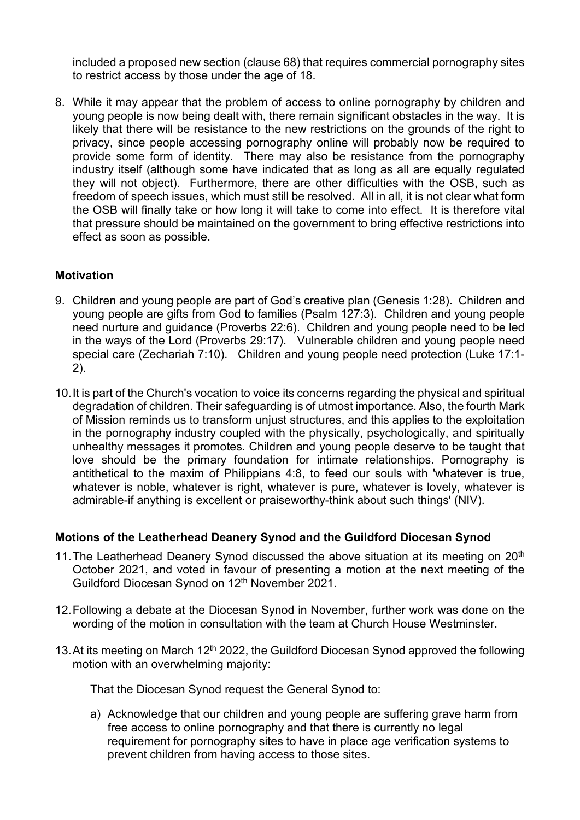included a proposed new section (clause 68) that requires commercial pornography sites to restrict access by those under the age of 18.

8. While it may appear that the problem of access to online pornography by children and young people is now being dealt with, there remain significant obstacles in the way. It is likely that there will be resistance to the new restrictions on the grounds of the right to privacy, since people accessing pornography online will probably now be required to provide some form of identity. There may also be resistance from the pornography industry itself (although some have indicated that as long as all are equally regulated they will not object). Furthermore, there are other difficulties with the OSB, such as freedom of speech issues, which must still be resolved. All in all, it is not clear what form the OSB will finally take or how long it will take to come into effect. It is therefore vital that pressure should be maintained on the government to bring effective restrictions into effect as soon as possible.

### **Motivation**

- 9. Children and young people are part of God's creative plan (Genesis 1:28). Children and young people are gifts from God to families (Psalm 127:3). Children and young people need nurture and guidance (Proverbs 22:6). Children and young people need to be led in the ways of the Lord (Proverbs 29:17). Vulnerable children and young people need special care (Zechariah 7:10). Children and young people need protection (Luke 17:1- 2).
- 10.It is part of the Church's vocation to voice its concerns regarding the physical and spiritual degradation of children. Their safeguarding is of utmost importance. Also, the fourth Mark of Mission reminds us to transform unjust structures, and this applies to the exploitation in the pornography industry coupled with the physically, psychologically, and spiritually unhealthy messages it promotes. Children and young people deserve to be taught that love should be the primary foundation for intimate relationships. Pornography is antithetical to the maxim of Philippians 4:8, to feed our souls with 'whatever is true, whatever is noble, whatever is right, whatever is pure, whatever is lovely, whatever is admirable-if anything is excellent or praiseworthy-think about such things' (NIV).

#### **Motions of the Leatherhead Deanery Synod and the Guildford Diocesan Synod**

- 11. The Leatherhead Deanery Synod discussed the above situation at its meeting on  $20<sup>th</sup>$ October 2021, and voted in favour of presenting a motion at the next meeting of the Guildford Diocesan Synod on 12<sup>th</sup> November 2021.
- 12.Following a debate at the Diocesan Synod in November, further work was done on the wording of the motion in consultation with the team at Church House Westminster.
- 13. At its meeting on March  $12<sup>th</sup>$  2022, the Guildford Diocesan Synod approved the following motion with an overwhelming majority:

That the Diocesan Synod request the General Synod to:

a) Acknowledge that our children and young people are suffering grave harm from free access to online pornography and that there is currently no legal requirement for pornography sites to have in place age verification systems to prevent children from having access to those sites.